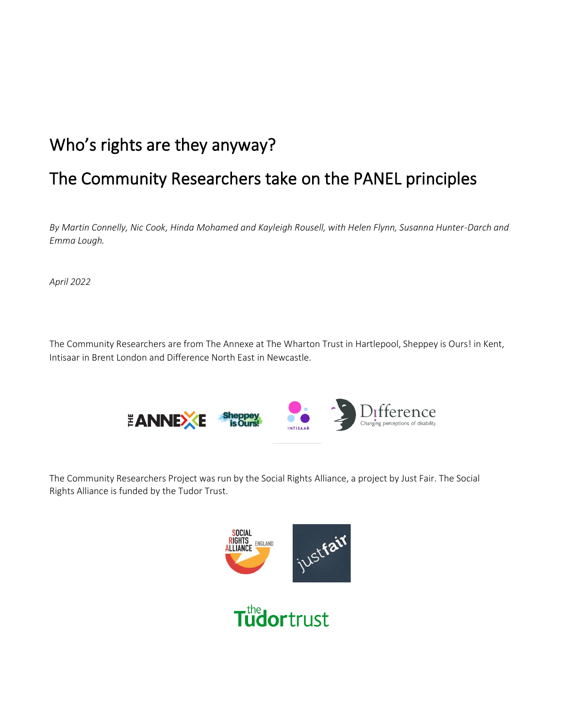# Who's rights are they anyway?

# The Community Researchers take on the PANEL principles

*By Martin Connelly, Nic Cook, Hinda Mohamed and Kayleigh Rousell, with Helen Flynn, Susanna Hunter-Darch and Emma Lough.*

*April 2022*

The Community Researchers are from The Annexe at The Wharton Trust in Hartlepool, Sheppey is Ours! in Kent, Intisaar in Brent London and Difference North East in Newcastle.



The Community Researchers Project was run by the Social Rights Alliance, a project by Just Fair. The Social Rights Alliance is funded by the Tudor Trust.

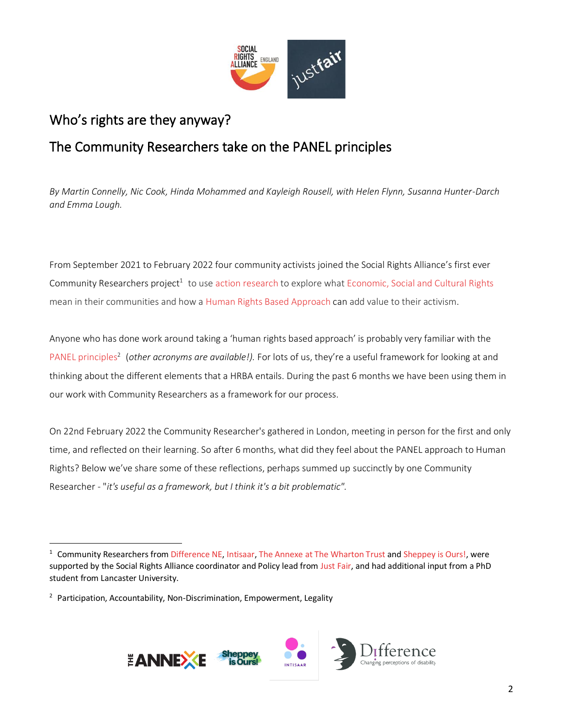

## Who's rights are they anyway?

## The Community Researchers take on the PANEL principles

*By Martin Connelly, Nic Cook, Hinda Mohammed and Kayleigh Rousell, with Helen Flynn, Susanna Hunter-Darch and Emma Lough.*

From September 2021 to February 2022 four community activists joined the Social Rights Alliance's first ever Community Researchers project<sup>1</sup> to use action [research](https://infed.org/mobi/action-research/) to explore what [Economic,](https://justfair.org.uk/economic-and-social-rights/) Social and Cultural Rights mean in their communities and how a Human Rights Based [Approach](https://www.youtube.com/watch?v=_8Qa6GXaZgA&t=2s) can add value to their activism.

Anyone who has done work around taking a 'human rights based approach' is probably very familiar with the PANEL [principles](https://www.scottishhumanrights.com/projects-and-programmes/human-rights-based-approach/)<sup>2</sup> (other acronyms are available!). For lots of us, they're a useful framework for looking at and thinking about the different elements that a HRBA entails. During the past 6 months we have been using them in our work with Community Researchers as a framework for our process.

On 22nd February 2022 the Community Researcher's gathered in London, meeting in person for the first and only time, and reflected on their learning. So after 6 months, what did they feel about the PANEL approach to Human Rights? Below we've share some of these reflections, perhaps summed up succinctly by one Community Researcher - "*it's useful as a framework, but I think it's a bit problematic".* 

<sup>&</sup>lt;sup>2</sup> Participation, Accountability, Non-Discrimination, Empowerment, Legality



 $1$  Community Researchers from [Difference NE,](https://differencenortheast.org.uk/) [Intisaar,](https://intisaar.org/) [The Annexe at The Wharton Trust](https://www.whartontrust.org.uk/) and [Sheppey is Ours!,](https://sheppeyisours.co.uk/) were supported by the Social Rights Alliance coordinator and Policy lead from [Just Fair,](http://www.justfair.org.uk/) and had additional input from a PhD student from Lancaster University.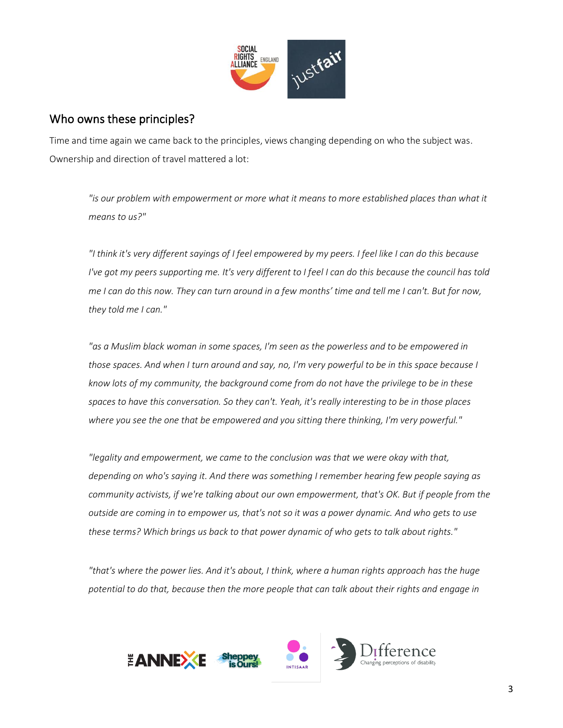

#### Who owns these principles?

Time and time again we came back to the principles, views changing depending on who the subject was. Ownership and direction of travel mattered a lot:

*"is our problem with empowerment or more what it means to more established places than what it means to us?"*

*"I think it's very different sayings of I feel empowered by my peers. I feel like I can do this because I've got my peers supporting me. It's very different to I feel I can do this because the council has told me I can do this now. They can turn around in a few months' time and tell me I can't. But for now, they told me I can."*

*"as a Muslim black woman in some spaces, I'm seen as the powerless and to be empowered in those spaces. And when I turn around and say, no, I'm very powerful to be in this space because I know lots of my community, the background come from do not have the privilege to be in these spaces to have this conversation. So they can't. Yeah, it's really interesting to be in those places where you see the one that be empowered and you sitting there thinking, I'm very powerful."* 

*"legality and empowerment, we came to the conclusion was that we were okay with that, depending on who's saying it. And there was something I remember hearing few people saying as community activists, if we're talking about our own empowerment, that's OK. But if people from the outside are coming in to empower us, that's not so it was a power dynamic. And who gets to use these terms? Which brings us back to that power dynamic of who gets to talk about rights."*

*"that's where the power lies. And it's about, I think, where a human rights approach has the huge potential to do that, because then the more people that can talk about their rights and engage in* 

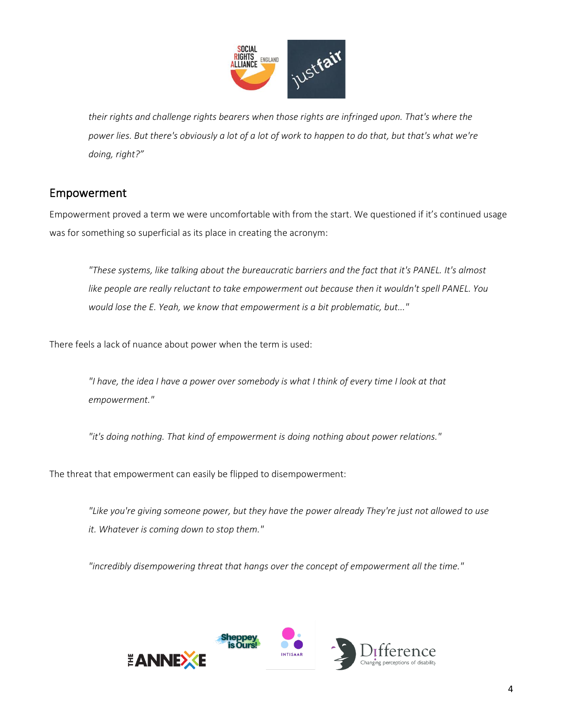

*their rights and challenge rights bearers when those rights are infringed upon. That's where the power lies. But there's obviously a lot of a lot of work to happen to do that, but that's what we're doing, right?"*

### Empowerment

Empowerment proved a term we were uncomfortable with from the start. We questioned if it's continued usage was for something so superficial as its place in creating the acronym:

*"These systems, like talking about the bureaucratic barriers and the fact that it's PANEL. It's almost like people are really reluctant to take empowerment out because then it wouldn't spell PANEL. You would lose the E. Yeah, we know that empowerment is a bit problematic, but..."*

There feels a lack of nuance about power when the term is used:

*"I have, the idea I have a power over somebody is what I think of every time I look at that empowerment."*

*"it's doing nothing. That kind of empowerment is doing nothing about power relations."*

The threat that empowerment can easily be flipped to disempowerment:

*"Like you're giving someone power, but they have the power already They're just not allowed to use it. Whatever is coming down to stop them."*

*"incredibly disempowering threat that hangs over the concept of empowerment all the time."*

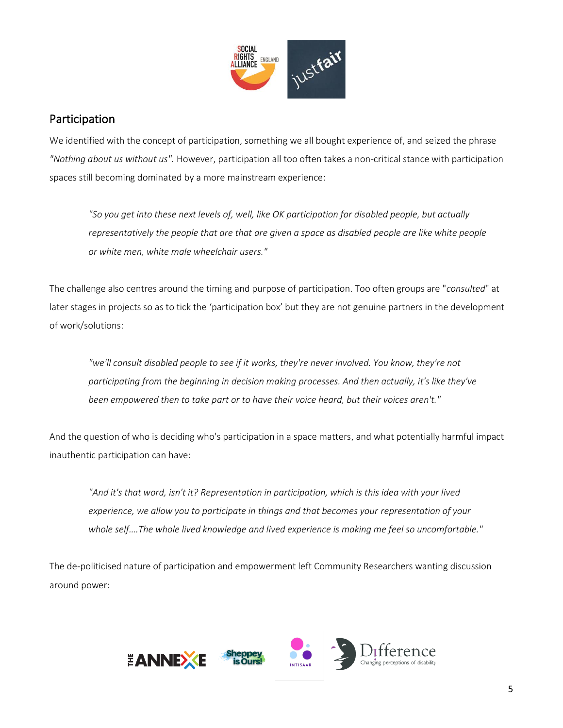

#### Participation

We identified with the concept of participation, something we all bought experience of, and seized the phrase *"Nothing about us without us".* However, participation all too often takes a non-critical stance with participation spaces still becoming dominated by a more mainstream experience:

*"So you get into these next levels of, well, like OK participation for disabled people, but actually representatively the people that are that are given a space as disabled people are like white people or white men, white male wheelchair users."*

The challenge also centres around the timing and purpose of participation. Too often groups are "*consulted*" at later stages in projects so as to tick the 'participation box' but they are not genuine partners in the development of work/solutions:

*"we'll consult disabled people to see if it works, they're never involved. You know, they're not participating from the beginning in decision making processes. And then actually, it's like they've been empowered then to take part or to have their voice heard, but their voices aren't."*

And the question of who is deciding who's participation in a space matters, and what potentially harmful impact inauthentic participation can have:

*"And it's that word, isn't it? Representation in participation, which is this idea with your lived experience, we allow you to participate in things and that becomes your representation of your whole self….The whole lived knowledge and lived experience is making me feel so uncomfortable."*

The de-politicised nature of participation and empowerment left Community Researchers wanting discussion around power:

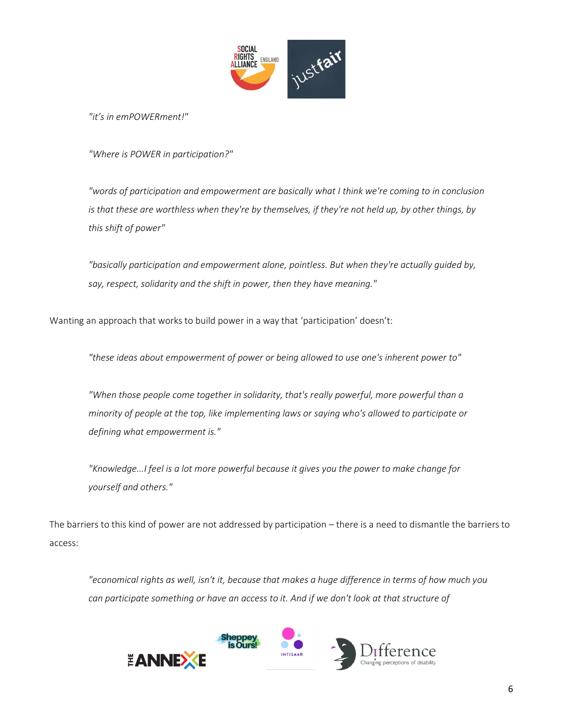

*"it's in emPOWERment!"* 

*"Where is POWER in participation?"*

*"words of participation and empowerment are basically what I think we're coming to in conclusion is that these are worthless when they're by themselves, if they're not held up, by other things, by this shift of power"*

*"basically participation and empowerment alone, pointless. But when they're actually guided by, say, respect, solidarity and the shift in power, then they have meaning."*

Wanting an approach that works to build power in a way that 'participation' doesn't:

*"these ideas about empowerment of power or being allowed to use one's inherent power to"*

*"When those people come together in solidarity, that's really powerful, more powerful than a minority of people at the top, like implementing laws or saying who's allowed to participate or defining what empowerment is."*

*"Knowledge...I feel is a lot more powerful because it gives you the power to make change for yourself and others."* 

The barriers to this kind of power are not addressed by participation – there is a need to dismantle the barriers to access:

*"economical rights as well, isn't it, because that makes a huge difference in terms of how much you can participate something or have an access to it. And if we don't look at that structure of* 

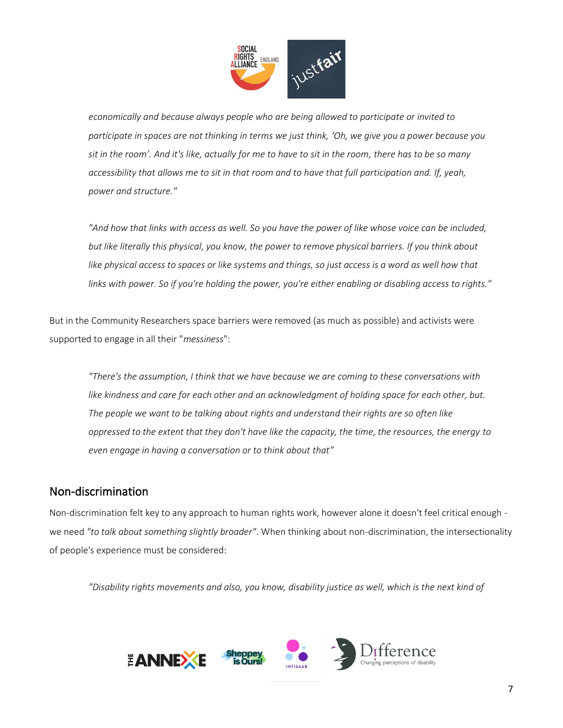

*economically and because always people who are being allowed to participate or invited to participate in spaces are not thinking in terms we just think, 'Oh, we give you a power because you sit in the room'. And it's like, actually for me to have to sit in the room, there has to be so many accessibility that allows me to sit in that room and to have that full participation and. If, yeah, power and structure."*

*"And how that links with access as well. So you have the power of like whose voice can be included, but like literally this physical, you know, the power to remove physical barriers. If you think about*  like physical access to spaces or like systems and things, so just access is a word as well how that *links with power. So if you're holding the power, you're either enabling or disabling access to rights."*

But in the Community Researchers space barriers were removed (as much as possible) and activists were supported to engage in all their "*messiness*":

*"There's the assumption, I think that we have because we are coming to these conversations with*  like kindness and care for each other and an acknowledgment of holding space for each other, but. *The people we want to be talking about rights and understand their rights are so often like oppressed to the extent that they don't have like the capacity, the time, the resources, the energy to even engage in having a conversation or to think about that"*

### Non-discrimination

Non-discrimination felt key to any approach to human rights work, however alone it doesn't feel critical enough we need *"to talk about something slightly broader"*. When thinking about non-discrimination, the intersectionality of people's experience must be considered:

*"Disability rights movements and also, you know, disability justice as well, which is the next kind of* 

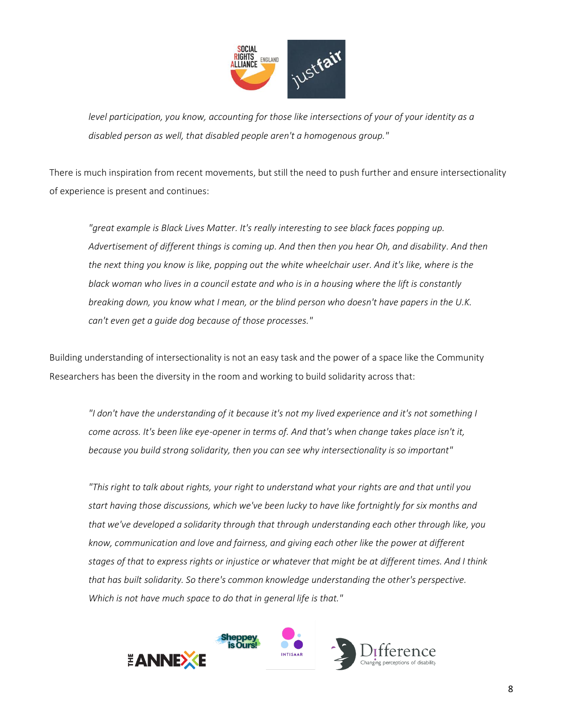

*level participation, you know, accounting for those like intersections of your of your identity as a disabled person as well, that disabled people aren't a homogenous group."*

There is much inspiration from recent movements, but still the need to push further and ensure intersectionality of experience is present and continues:

*"great example is Black Lives Matter. It's really interesting to see black faces popping up. Advertisement of different things is coming up. And then then you hear Oh, and disability. And then the next thing you know is like, popping out the white wheelchair user. And it's like, where is the black woman who lives in a council estate and who is in a housing where the lift is constantly breaking down, you know what I mean, or the blind person who doesn't have papers in the U.K. can't even get a guide dog because of those processes."*

Building understanding of intersectionality is not an easy task and the power of a space like the Community Researchers has been the diversity in the room and working to build solidarity across that:

*"I don't have the understanding of it because it's not my lived experience and it's not something I come across. It's been like eye-opener in terms of. And that's when change takes place isn't it, because you build strong solidarity, then you can see why intersectionality is so important"*

*"This right to talk about rights, your right to understand what your rights are and that until you start having those discussions, which we've been lucky to have like fortnightly for six months and that we've developed a solidarity through that through understanding each other through like, you know, communication and love and fairness, and giving each other like the power at different stages of that to express rights or injustice or whatever that might be at different times. And I think that has built solidarity. So there's common knowledge understanding the other's perspective. Which is not have much space to do that in general life is that."*

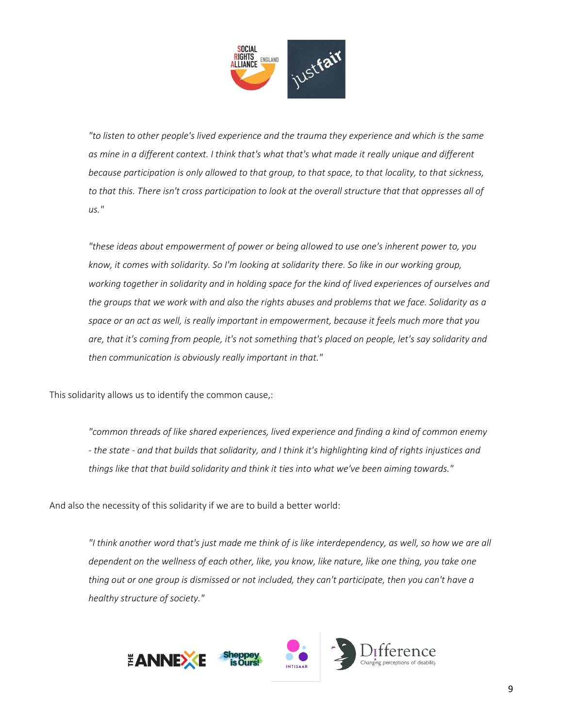

*"to listen to other people's lived experience and the trauma they experience and which is the same as mine in a different context. I think that's what that's what made it really unique and different because participation is only allowed to that group, to that space, to that locality, to that sickness, to that this. There isn't cross participation to look at the overall structure that that oppresses all of us."*

*"these ideas about empowerment of power or being allowed to use one's inherent power to, you know, it comes with solidarity. So I'm looking at solidarity there. So like in our working group, working together in solidarity and in holding space for the kind of lived experiences of ourselves and the groups that we work with and also the rights abuses and problems that we face. Solidarity as a space or an act as well, is really important in empowerment, because it feels much more that you are, that it's coming from people, it's not something that's placed on people, let's say solidarity and then communication is obviously really important in that."*

This solidarity allows us to identify the common cause,:

*"common threads of like shared experiences, lived experience and finding a kind of common enemy - the state - and that builds that solidarity, and I think it's highlighting kind of rights injustices and things like that that build solidarity and think it ties into what we've been aiming towards."*

And also the necessity of this solidarity if we are to build a better world:

*"I think another word that's just made me think of is like interdependency, as well, so how we are all dependent on the wellness of each other, like, you know, like nature, like one thing, you take one thing out or one group is dismissed or not included, they can't participate, then you can't have a healthy structure of society."*

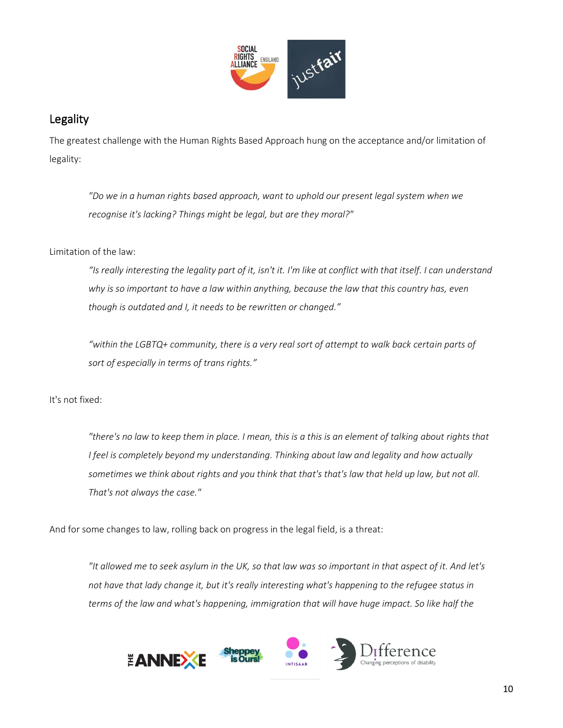

### Legality

The greatest challenge with the Human Rights Based Approach hung on the acceptance and/or limitation of legality:

*"Do we in a human rights based approach, want to uphold our present legal system when we recognise it's lacking? Things might be legal, but are they moral?"*

Limitation of the law:

*"Is really interesting the legality part of it, isn't it. I'm like at conflict with that itself. I can understand why is so important to have a law within anything, because the law that this country has, even though is outdated and I, it needs to be rewritten or changed."* 

*"within the LGBTQ+ community, there is a very real sort of attempt to walk back certain parts of sort of especially in terms of trans rights."* 

It's not fixed:

*"there's no law to keep them in place. I mean, this is a this is an element of talking about rights that I feel is completely beyond my understanding. Thinking about law and legality and how actually sometimes we think about rights and you think that that's that's law that held up law, but not all. That's not always the case."*

And for some changes to law, rolling back on progress in the legal field, is a threat:

*"It allowed me to seek asylum in the UK, so that law was so important in that aspect of it. And let's not have that lady change it, but it's really interesting what's happening to the refugee status in terms of the law and what's happening, immigration that will have huge impact. So like half the* 

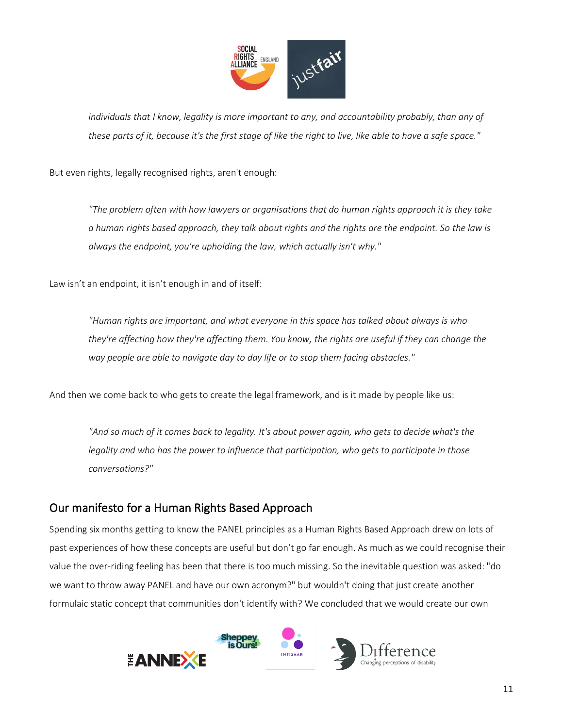

*individuals that I know, legality is more important to any, and accountability probably, than any of these parts of it, because it's the first stage of like the right to live, like able to have a safe space."*

But even rights, legally recognised rights, aren't enough:

*"The problem often with how lawyers or organisations that do human rights approach it is they take a human rights based approach, they talk about rights and the rights are the endpoint. So the law is always the endpoint, you're upholding the law, which actually isn't why."*

Law isn't an endpoint, it isn't enough in and of itself:

*"Human rights are important, and what everyone in this space has talked about always is who they're affecting how they're affecting them. You know, the rights are useful if they can change the way people are able to navigate day to day life or to stop them facing obstacles."*

And then we come back to who gets to create the legal framework, and is it made by people like us:

*"And so much of it comes back to legality. It's about power again, who gets to decide what's the legality and who has the power to influence that participation, who gets to participate in those conversations?"* 

#### Our manifesto for a Human Rights Based Approach

Spending six months getting to know the PANEL principles as a Human Rights Based Approach drew on lots of past experiences of how these concepts are useful but don't go far enough. As much as we could recognise their value the over-riding feeling has been that there is too much missing. So the inevitable question was asked: "do we want to throw away PANEL and have our own acronym?" but wouldn't doing that just create another formulaic static concept that communities don't identify with? We concluded that we would create our own